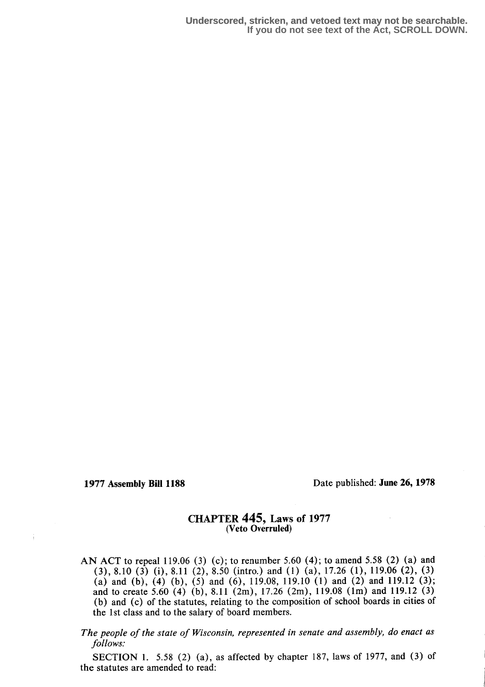### 1977 Assembly Bill 1188 Date published: June 26, 1978

### CHAPTER 445, Laws of 1977 (Veto Overruled)

- AN ACT to repeal 119.06 (3) (c); to renumber 5.60 (4); to amend 5.58 (2) (a) and  $(3)$ , 8.10  $(3)$   $(i)$ , 8.11  $(2)$ , 8.50 (intro.) and  $(1)$   $(a)$ , 17.26  $(1)$ , 119.06  $(2)$ ,  $(3)$ (a) and (b), (4) (b), (5) and (6), 119.08, 119.10 (1) and (2) and 119.12 (3); and to create 5.60 (4) (b), 8.11 (2m), 17.26 (2m), 119.08 (1m) and 119.12 (3) (b) and (c) of the statutes, relating to the composition of school boards in cities of the 1st class and to the salary of board members.
- The people of the state of Wisconsin, represented in senate and assembly, do enact as follows:

SECTION 1. 5.58 (2) (a), as affected by chapter 187, laws of 1977, and (3) of the statutes are amended to read: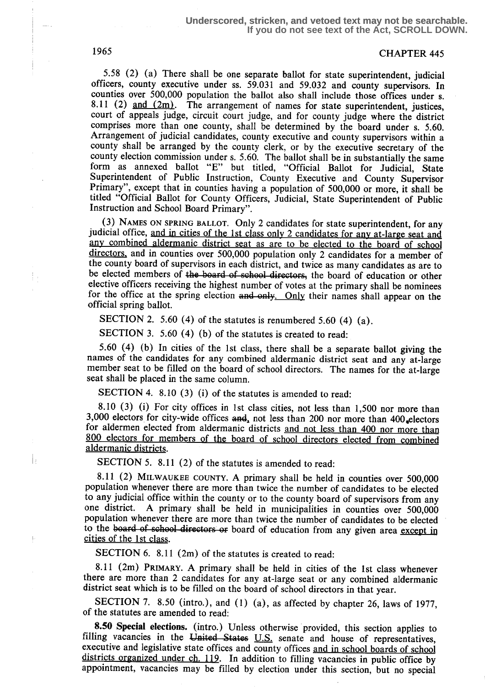# 1965 CHAPTER 445

5.58 (2) (a) There shall be one separate ballot for state superintendent, judicial officers, county executive under ss . 59.031 and 59.032 and county supervisors. In counties over 500,000 population the ballot also shall include those offices under s. 8.11 (2)  $\frac{and (2m)}{m}$ . The arrangement of names for state superintendent, justices, court of appeals judge, circuit court judge, and for county judge where the district comprises more than one county, shall be determined by the board under s. 5.60. Arrangement of judicial candidates, county executive and county supervisors within a county shall be arranged by the county clerk, or by the executive secretary of the county election commission under s. 5.60. The ballot shall be in substantially the same form as annexed ballot "E" but titled, "Official Ballot for Judicial, State Superintendent of Public Instruction, County Executive and County Supervisor Primary", except that in counties having a population of 500,000 or more, it shall be titled "Official Ballot for County Officers, Judicial, State Superintendent of Public Instruction and School Board Primary".

(3) NAMES ON SPRING BALLOT. Only 2 candidates for state superintendent, for any judicial office, and in cities of the 1st class only 2 candidates for any at-large seat and any combined aldermanic district seat as are to be elected to the board of school directors, and in counties over 500,000 population only 2 candidates for a member of the county board of supervisors in each district, and twice as many candidates as are to be elected members of the board of school directors, the board of education or other elective officers receiving the highest number of votes at the primary shall be nominees for the office at the spring election and only. Only their names shall appear on the official spring ballot.

SECTION 2. 5.60 (4) of the statutes is renumbered 5.60 (4) (a).

SECTION 3. 5.60 (4) (b) of the statutes is created to read:

5.60 (4) (b) In cities of the 1st class, there shall be a separate ballot giving the names of the candidates for any combined aldermanic district seat and any at-large member seat to be filled on the board of school directors. The names for the at-large seat shall be placed in the same column.

SECTION 4. 8.10 (3) (i) of the statutes is amended to read:

8.10 (3) (i) For city offices in 1st class cities, not less than 1,500 nor more than 3,000 electors for city-wide offices  $\text{and}_1$  not less than 200 nor more than 400 electors for aldermen elected from aldermanic districts and not less than 400 nor more than 800 electors for members of the board of school directors elected from combined aldermanic districts.

SECTION 5. 8.11 (2) of the statutes is amended to read:

8.11 (2) MILWAUKEE COUNTY. A primary shall be held in counties over 500,000 population whenever there are more than twice the number of candidates to be elected to any judicial office within the county or to the county board of supervisors from any one district. A primary shall be held in municipalities in counties over 500,000 population whenever there are more than twice the number of candidates to be elected to the board of school directors or board of education from any given area except in cities of the 1st class.

SECTION 6. 8.11 (2m) of the statutes is created to read:

5.11 (2m) PRIMARY. A primary shall be held in cities of the 1st class whenever there are more than 2 candidates for any at-large seat or any combined aldermanic district seat which is to be filled on the board of school directors in that year.

SECTION 7. 8.50 (intro.), and (1) (a), as affected by chapter 26, laws of 1977, of the statutes are amended to read:

8.50 Special elections. (intro.) Unless otherwise provided, this section applies to filling vacancies in the United States  $U.S.$  senate and house of representatives, executive and legislative state offices and county offices and in school boards of school districts organized under ch. 119. In addition to filling vacancies in public office by appointment, vacancies may be filled by election under this section, but no special

k

ţ.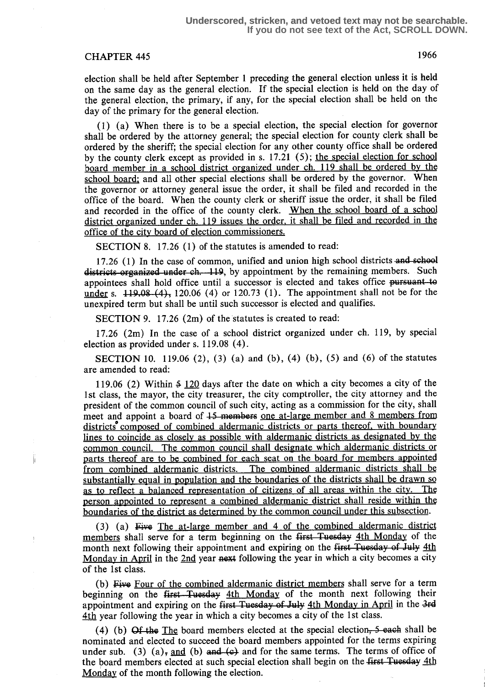# CHAPTER 445 1966

election shall be held after September 1 preceding the general election unless it is held on the same day as the general election . If the special election is held on the day of the general election, the primary, if any, for the special election shall be held on the day of the primary for the general election.

(1) (a) When there is to be a special election, the special election for governor shall be ordered by the attorney general; the special election for county clerk shall be ordered by the sheriff; the special election for any other county office shall be ordered by the county clerk except as provided in s.  $17.21$  (5); the special election for school board member in a school district organized under ch. 119 shall be ordered by the school board: and all other special elections shall be ordered by the governor. When the governor or attorney general issue the order, it shall be filed and recorded in the office of the board. When the county clerk or sheriff issue the order, it shall be filed and recorded in the office of the county clerk. When the school board of a school district organized under ch 119 issues the order, it shall be filed and recorded in the office of the city board of election commissioners.

SECTION 8. 17.26 (1) of the statutes is amended to read:

17.26 (1) In the case of common, unified and union high school districts and school districts organized under ch. 119, by appointment by the remaining members. Such appointees shall hold office until a successor is elected and takes office pursuant to under s.  $119.08-(4)$ , 120.06 (4) or 120.73 (1). The appointment shall not be for the unexpired term but shall be until such successor is elected and qualifies.

SECTION 9. 17.26 (2m) of the statutes is created to read:

17.26 (2m) In the case of a school district organized under ch. 119, by special election as provided under s. 119.08 (4) .

**SECTION** 10. 119.06 (2), (3) (a) and (b), (4) (b), (5) and (6) of the statutes are amended to read:

119.06 (2) Within 3 120 days after the date on which a city becomes a city of the 1st class, the mayor, the city treasurer, the city comptroller, the city attorney and the president of the common council of such city, acting as a commission for the city, shall meet and appoint a board of 15 members one at-large member and 8 members from districts composed of combined aldermanic districts or parts thereof, with boundary lines to coincide as closely as possible with aldermanic districts as designated by the common council. The common council shall designate which aldermanic districts or parts thereof are to be combined for each seat on the board for members appointed from combined aldermanic districts. The combined aldermanic districts shall be substantially equal in population and the boundaries of the districts shall be drawn so as to reflect a balanced representation of citizens of all areas within the city. The person appointed to represent a combined aldermanic district shall reside within the boundaries of the district as determined by the common council under this subsection.

(3) (a) Five The at-large member and  $4$  of the combined aldermanic district members shall serve for a term beginning on the first Tuesday 4th Monday of the month next following their appointment and expiring on the first Tuesday of July 4th Monday in April in the 2nd year next following the year in which a city becomes a city of the 1st class.

(b) Five Four of the combined aldermanic district members shall serve for a term beginning on the first Tuesday 4th Monday of the month next following their appointment and expiring on the first Tuesday of July 4th Monday in April in the 3rd 4th year following the year in which a city becomes a city of the 1st class.

(4) (b)  $\Theta f$  the The board members elected at the special election, 5 each shall be nominated and elected to succeed the board members appointed for the terms expiring under sub. (3) (a), and (b) and  $\left(\epsilon\right)$  and for the same terms. The terms of office of the board members elected at such special election shall begin on the first Tuesday 4th Monday of the month following the election.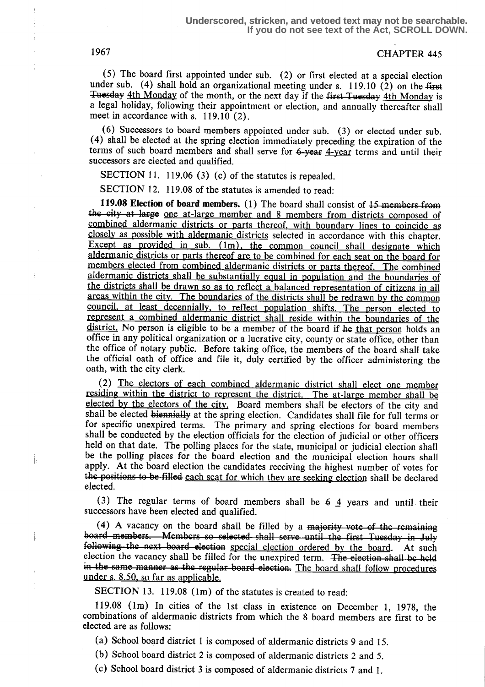1967 CHAPTER 445

(5) The board first appointed under sub. (2) or first elected at a special election under sub. (4) shall hold an organizational meeting under s. 119.10 (2) on the first Tuesday 4th Monday of the month, or the next day if the first-Tuesday 4th Monday is a legal holiday, following their appointment or election, and annually thereafter shall meet in accordance with s. 119.10 (2).

(6) Successors to board members appointed under sub. (3) or elected under sub . (4) shall be elected at the spring election immediately preceding the expiration of the terms of such board members and shall serve for 6-year 4-year terms and until their successors are elected and qualified.

SECTION 11. 119.06 (3) (c) of the statutes is repealed.

SECTION 12. 119.08 of the statutes is amended to read:

**119.08 Election of board members.** (1) The board shall consist of  $15$  members from SECTION 12. 119.08 of the statutes is amended to read:<br>119.08 Election of board members. (1) The board shall consist of 15 members from<br>the city at large one at-large member and 8 members from districts composed of<br>combine combined aldermanic districts or parts thereof, with boundary lines to coincide as closely as possible with aldermanic districts selected in accordance with this chapter. Except as provided in sub.  $(m)$ , the common council shall designate which aldermanic districts or parts thereof are to be combined for each seat on the board for members elected from combined aldermanic districts or parts thereof. The combined aldermanic districts shall be substantially equal in population and the boundaries of the districts shall be drawn so as to reflect a balanced representation of citizens in all areas within the city. The boundaries of the districts shall be redrawn by the common council, at least decennially, to reflect population shifts. The person elected to represent a combined aldermanic district shall reside within the boundaries of the district. No person is eligible to be a member of the board if he that person holds an office in any political organization or a lucrative city, county or state office, other than the office of notary public. Before taking office, the members of the board shall take the official oath of office and file it, duly certified by the officer administering the oath, with the city clerk.

(2) The electors of each combined aldermanic district shall elect one member residing within the district to represent the district. The at-large member shall be elected by the electors of the city. Board members shall be electors of the city and shall be elected biennially at the spring election. Candidates shall file for full terms or for specific unexpired terms. The primary and spring elections for board members shall be conducted by the election officials for the election of judicial or other officers held on that date. The polling places for the state, municipal or judicial election shall be the polling places for the board election and the municipal election hours shall apply. At the board election the candidates receiving the highest number of votes for the positions to be-filled each seat for which they are seeking election shall be declared elected.

(3) The regular terms of board members shall be  $6\frac{1}{4}$  years and until their successors have been elected and qualified.

(4) A vacancy on the board shall be filled by a majority vote of the remaining<br>board members. Members so selected shall serve until the first Tuesday in July<br>following the next board election special election ordered by t board members. Members so selected shall serve until the first Tuesday in July<br>following the next board election special election ordered by the board. At such election the vacancy shall be filled for the unexpired term. The election shall be held in the same manner as the regular board election. The board shall follow procedures under s. 8.50, so far as applicable.

SECTION 13. 119.08 (1m) of the statutes is created to read:

119.08 (lm) In cities of the 1st class in existence on December 1, 1978, the combinations of aldermanic districts from which the 8 board members are first to be elected are as follows:

(a) School board district 1 is composed of aldermanic districts 9 and 15.

(b) School board district 2 is composed of aldermanic districts 2 and 5.

(c) School board district 3 is composed of aldermanic districts 7 and l .

j,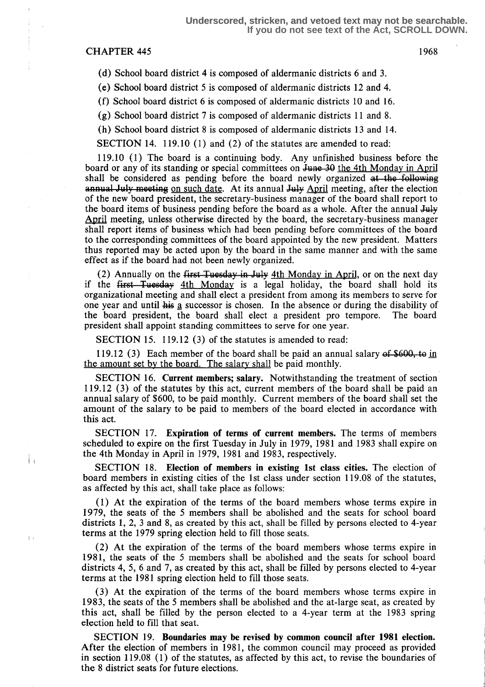#### CHAPTER 445 1968

Ťч

 $\mathbf{I}$ 

(d) School board district 4 is composed of aldermanic districts 6 and 3 .

(e) School board district 5 is composed of aldermanic districts 12 and 4.

(f) School board district 6 is composed of aldermanic districts 10 and 16.

(g) School board district 7 is composed of aldermanic districts 11 and 8.

(h) School board district 8 is composed of aldermanic districts 13 and 14.

SECTION 14. 119.10 (1) and (2) of the statutes are amended to read:

119.10 (1) The board is a continuing body. Any unfinished business before the board or any of its standing or special committees on June 30 the 4th Monday in April shall be considered as pending before the board newly organized at the following annual July meeting on such date. At its annual July April meeting, after the election of the new board president, the secretary-business manager of the board shall report to the board items of business pending before the board as a whole. After the annual July April meeting, unless otherwise directed by the board, the secretary-business manager shall report items of business which had been pending before committees of the board to the corresponding committees of the board appointed by the new president. Matters thus reported may be acted upon by the board in the same manner and with the same effect as if the board had not been newly organized.

(2) Annually on the first Tuesday in July  $4th$  Monday in April, or on the next day if the first Tuesday 4th Monday is a legal holiday, the board shall hold its organizational meeting and shall elect a president from among its members to serve for one year and until  $\frac{1}{1}$  is a successor is chosen. In the absence or during the disability of the board shall elect a president pro tempore. The board the board president, the board shall elect a president pro tempore. president shall appoint standing committees to serve for one year.

SECTION 15. 119.12 (3) of the statutes is amended to read:

119.12 (3) Each member of the board shall be paid an annual salary of  $$600$ , to in the amount set by the board. The salary shall be paid monthly.

SECTION 16. Current members; salary. Notwithstanding the treatment of section 119.12 (3) of the statutes by this act, current members of the board shall be paid an annual salary of \$600, to be paid monthly. Current members of the board shall set the amount of the salary to be paid to members of the board elected in accordance with this act.

SECTION 17. Expiration of terms of current members. The terms of members scheduled to expire on the first Tuesday in July in 1979, 1981 and 1983 shall expire on the 4th Monday in April in 1979, 1981 and 1983, respectively.

SECTION 18. Election of members in existing 1st class cities. The election of board members in existing cities of the 1st class under section 119.08 of the statutes, as affected by this act, shall take place as follows:

(1) At the expiration of the terms of the board members whose terms expire in 1979, the seats of the 5 members shall be abolished and the seats for school board districts 1, 2, 3 and 8, as created by this act, shall be filled by persons elected to 4-year terms at the 1979 spring election held to fill those seats.

(2) At the expiration of the terms of the board members whose terms expire in 1981, the seats of the 5 members shall be abolished and the seats for school board districts 4, 5, 6 and 7, as created by this act, shall be filled by persons elected to 4-year terms at the 1981 spring election held to fill those seats.

(3) At the expiration of the terms of the board members whose terms expire in 1983, the seats of the 5 members shall be abolished and the at-large seat, as created by this act, shall be filled by the person elected to a 4-year term at the 1983 spring election held to fill that seat.

SECTION 19. Boundaries may be revised by common council after 1981 election. After the election of members in 1981, the common council may proceed as provided in section 119.08 (1) of the statutes, as affected by this act, to revise the boundaries of the 8 district seats for future elections.